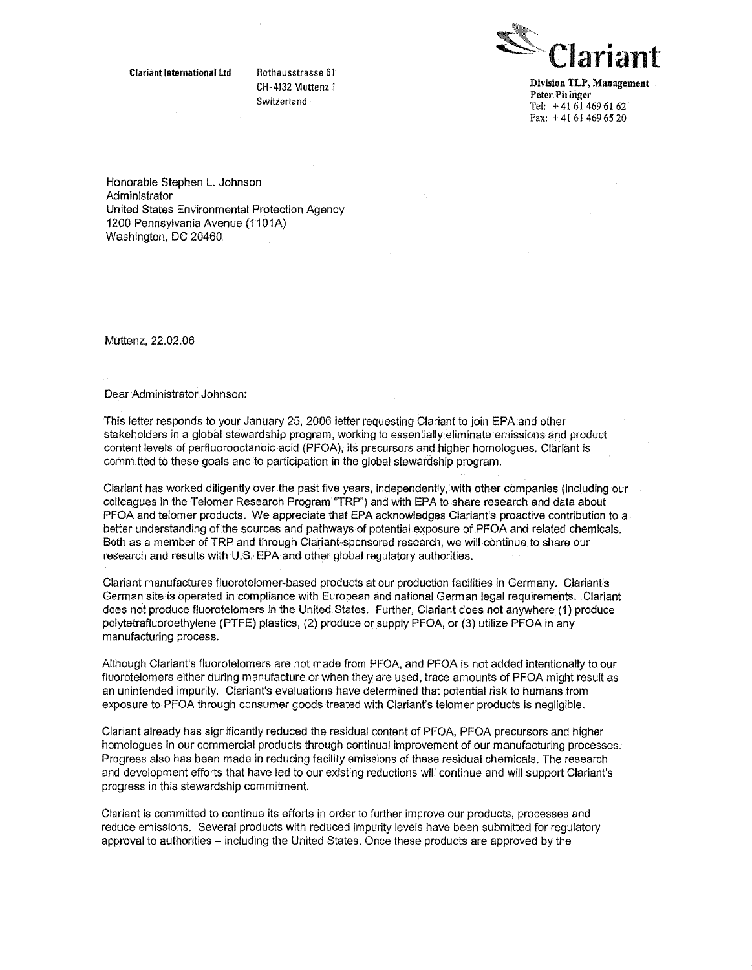**Clariant International Ltd Rothausstrasse 61**



**CH-4132 Muttenz <sup>i</sup> Division TLP, Management Peter Piringer ~wItzerianu Tel: +41614696162 Fax: +41614696520**

Honorable Stephen L. Johnson Administrator United States Environmental Protection Agency 1200 Pennsylvania Avenue (1101A) Washington, DC 20460

Muttenz, 22.02.06

Dear Administrator Johnson:

This letter responds to your January 25, 2006 letter requesting Clariant to join EPA and other stakeholders in a global stewardship program, working to essentially eliminate emissions and product content levels of perfluorooctanoic acid (PFOA), its precursors and higher homologues. Clariant is committed to these goals and to participation in the global stewardship program.

Clarlant has worked diligently over the past five years, independently, with other companies (including our colleagues in the Telomer Research Program "TRP") and with EPA to share research and data about PFOA and telomer products. We appreciate that EPA acknowledges Clariant's proactive contribution to a better understanding of the sources and pathways of potential exposure of PFOA and related chemicals. Both as a member of TRP and through Clariant-sponsored research, we will continue to share our research and results with U.S. EPA and other global regulatory authorities.

Clariant manufactures fluorotelomer-basod products at our production facilities in Germany. Clariant's German site is operated in compliance with European and national German legal requirements. Clariant does not produce fluorotelomers in the United States, Further, Clariant doesnot anywhere (1) produce polytetrafluoroethylene (PTFE) plastics, (2) produce or supply PFOA, or(3) utilize PFOA in any manufacturing process.

Although Clariant's fluorotelomers are not made from PFOA, and PFOA is not added intentionally to our fluorotelomers either during manufacture orwhen they are used, trace amounts of PFOA might result as an unintended impurity. Clariant's evaluations have determined that potential risk to humans from exposure to PFOA through consumer goods treated with Clariant's telomer products is negligible.

Clariant already has significantly reduced the residual content of PFOA, PFOA precursors and higher homologues in our commercial products through continual improvement of our manufacturing processes. Progress also has been made in reducing facility emissions of these residual chemicals. The research and development efforts that have led to our existing reductions will continue and will support Clariant's progress in this stewardship commitment.

Clariant is committed to continue its efforts in order to further improve our products, processes and reduce emissions. Several products with reduced impurity levels have been submitted for regulatory approval to authorities — including the United States. Once these products are approved by the